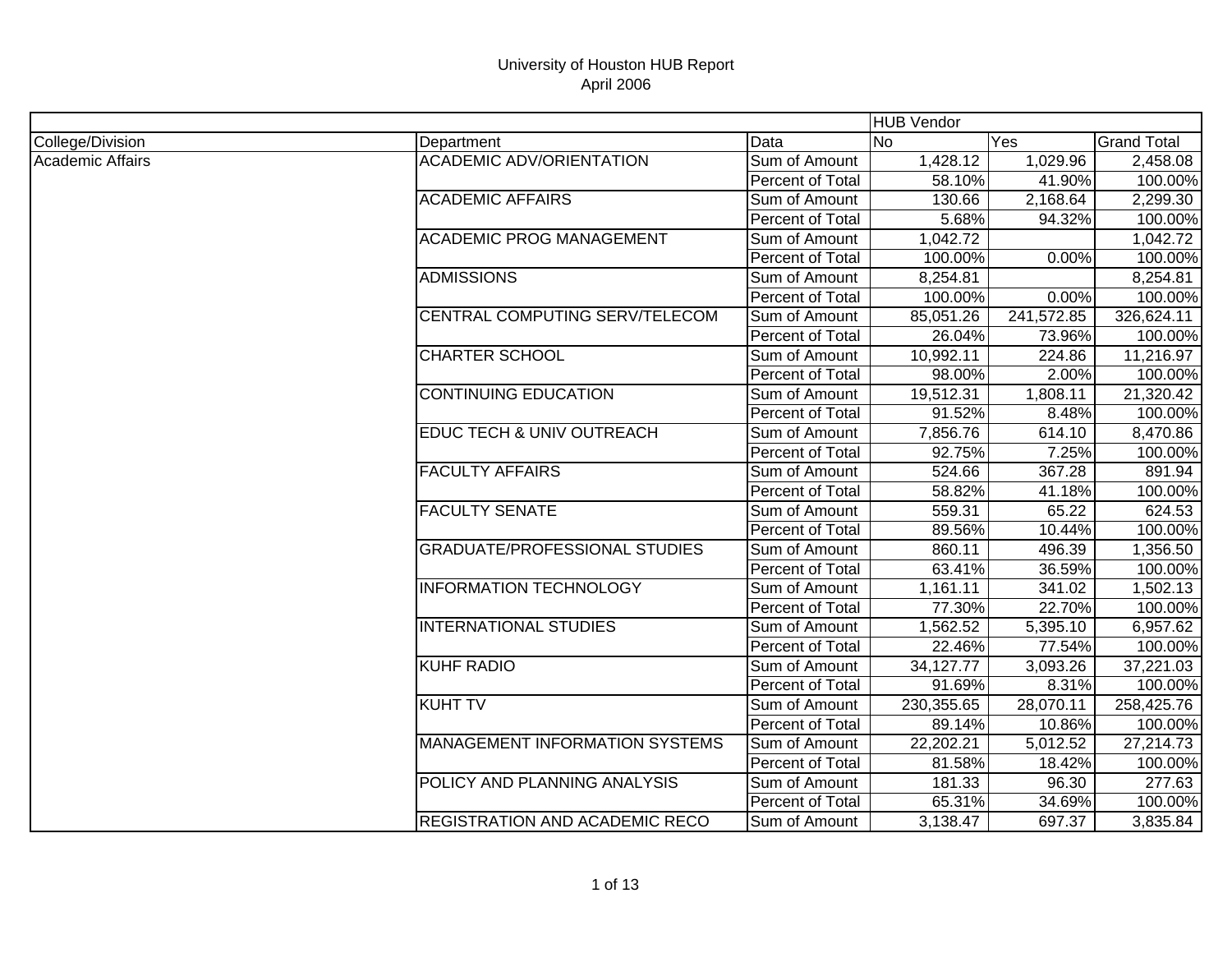|                  |                                       |                  | <b>HUB Vendor</b> |            |                    |
|------------------|---------------------------------------|------------------|-------------------|------------|--------------------|
| College/Division | Department                            | Data             | No                | Yes        | <b>Grand Total</b> |
| Academic Affairs | <b>ACADEMIC ADV/ORIENTATION</b>       | Sum of Amount    | 1,428.12          | 1,029.96   | 2,458.08           |
|                  |                                       | Percent of Total | 58.10%            | 41.90%     | 100.00%            |
|                  | <b>ACADEMIC AFFAIRS</b>               | Sum of Amount    | 130.66            | 2,168.64   | 2,299.30           |
|                  |                                       | Percent of Total | 5.68%             | 94.32%     | 100.00%            |
|                  | <b>ACADEMIC PROG MANAGEMENT</b>       | Sum of Amount    | 1,042.72          |            | 1,042.72           |
|                  |                                       | Percent of Total | 100.00%           | 0.00%      | 100.00%            |
|                  | <b>ADMISSIONS</b>                     | Sum of Amount    | 8,254.81          |            | 8,254.81           |
|                  |                                       | Percent of Total | 100.00%           | 0.00%      | 100.00%            |
|                  | CENTRAL COMPUTING SERV/TELECOM        | Sum of Amount    | 85,051.26         | 241,572.85 | 326,624.11         |
|                  |                                       | Percent of Total | 26.04%            | 73.96%     | 100.00%            |
|                  | <b>CHARTER SCHOOL</b>                 | Sum of Amount    | 10,992.11         | 224.86     | 11,216.97          |
|                  |                                       | Percent of Total | 98.00%            | 2.00%      | 100.00%            |
|                  | <b>CONTINUING EDUCATION</b>           | Sum of Amount    | 19,512.31         | 1,808.11   | 21,320.42          |
|                  |                                       | Percent of Total | 91.52%            | 8.48%      | 100.00%            |
|                  | EDUC TECH & UNIV OUTREACH             | Sum of Amount    | 7,856.76          | 614.10     | 8,470.86           |
|                  |                                       | Percent of Total | 92.75%            | 7.25%      | 100.00%            |
|                  | <b>FACULTY AFFAIRS</b>                | Sum of Amount    | 524.66            | 367.28     | 891.94             |
|                  |                                       | Percent of Total | 58.82%            | 41.18%     | 100.00%            |
|                  | <b>FACULTY SENATE</b>                 | Sum of Amount    | 559.31            | 65.22      | 624.53             |
|                  |                                       | Percent of Total | 89.56%            | 10.44%     | 100.00%            |
|                  | <b>GRADUATE/PROFESSIONAL STUDIES</b>  | Sum of Amount    | 860.11            | 496.39     | 1,356.50           |
|                  |                                       | Percent of Total | 63.41%            | 36.59%     | 100.00%            |
|                  | <b>INFORMATION TECHNOLOGY</b>         | Sum of Amount    | 1,161.11          | 341.02     | 1,502.13           |
|                  |                                       | Percent of Total | 77.30%            | 22.70%     | 100.00%            |
|                  | <b>INTERNATIONAL STUDIES</b>          | Sum of Amount    | 1,562.52          | 5,395.10   | 6,957.62           |
|                  |                                       | Percent of Total | 22.46%            | 77.54%     | 100.00%            |
|                  | <b>KUHF RADIO</b>                     | Sum of Amount    | 34,127.77         | 3,093.26   | 37,221.03          |
|                  |                                       | Percent of Total | 91.69%            | 8.31%      | 100.00%            |
|                  | <b>KUHT TV</b>                        | Sum of Amount    | 230,355.65        | 28,070.11  | 258,425.76         |
|                  |                                       | Percent of Total | 89.14%            | 10.86%     | 100.00%            |
|                  | <b>MANAGEMENT INFORMATION SYSTEMS</b> | Sum of Amount    | 22,202.21         | 5,012.52   | 27,214.73          |
|                  |                                       | Percent of Total | 81.58%            | 18.42%     | 100.00%            |
|                  | POLICY AND PLANNING ANALYSIS          | Sum of Amount    | 181.33            | 96.30      | 277.63             |
|                  |                                       | Percent of Total | 65.31%            | 34.69%     | 100.00%            |
|                  | REGISTRATION AND ACADEMIC RECO        | Sum of Amount    | 3,138.47          | 697.37     | 3,835.84           |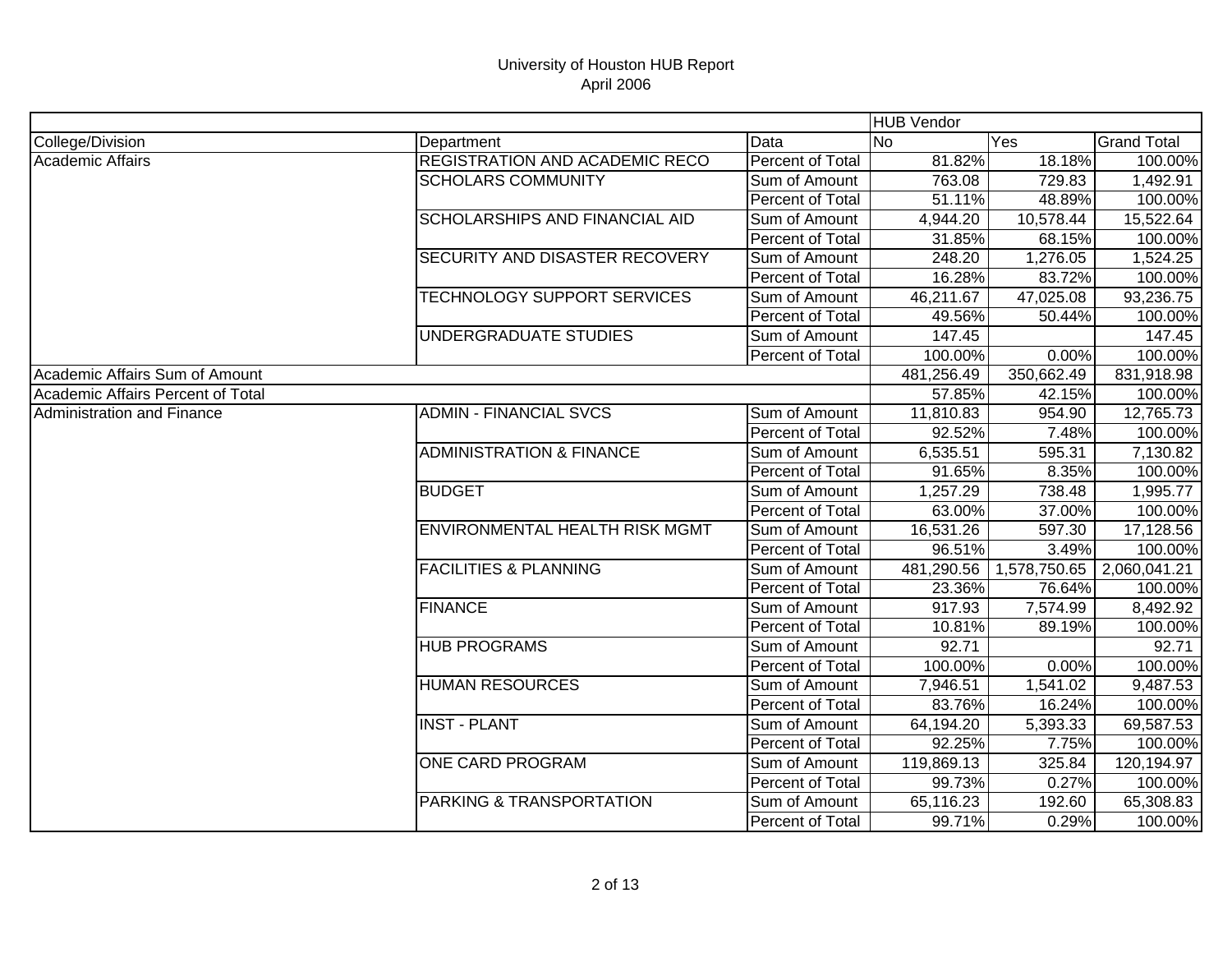|                                   |                                     |                         | <b>HUB Vendor</b> |              |                    |
|-----------------------------------|-------------------------------------|-------------------------|-------------------|--------------|--------------------|
| College/Division                  | Department                          | Data                    | lNo               | Yes          | <b>Grand Total</b> |
| <b>Academic Affairs</b>           | REGISTRATION AND ACADEMIC RECO      | <b>Percent of Total</b> | 81.82%            | 18.18%       | 100.00%            |
|                                   | <b>SCHOLARS COMMUNITY</b>           | Sum of Amount           | 763.08            | 729.83       | 1,492.91           |
|                                   |                                     | Percent of Total        | 51.11%            | 48.89%       | 100.00%            |
|                                   | SCHOLARSHIPS AND FINANCIAL AID      | Sum of Amount           | 4,944.20          | 10,578.44    | 15,522.64          |
|                                   |                                     | Percent of Total        | 31.85%            | 68.15%       | 100.00%            |
|                                   | SECURITY AND DISASTER RECOVERY      | Sum of Amount           | 248.20            | 1,276.05     | 1,524.25           |
|                                   |                                     | Percent of Total        | 16.28%            | 83.72%       | 100.00%            |
|                                   | TECHNOLOGY SUPPORT SERVICES         | Sum of Amount           | 46,211.67         | 47,025.08    | 93,236.75          |
|                                   |                                     | Percent of Total        | 49.56%            | 50.44%       | 100.00%            |
|                                   | UNDERGRADUATE STUDIES               | Sum of Amount           | 147.45            |              | 147.45             |
|                                   |                                     | Percent of Total        | 100.00%           | 0.00%        | 100.00%            |
| Academic Affairs Sum of Amount    |                                     |                         | 481,256.49        | 350,662.49   | 831,918.98         |
| Academic Affairs Percent of Total |                                     |                         | 57.85%            | 42.15%       | 100.00%            |
| Administration and Finance        | <b>ADMIN - FINANCIAL SVCS</b>       | Sum of Amount           | 11,810.83         | 954.90       | 12,765.73          |
|                                   |                                     | Percent of Total        | 92.52%            | 7.48%        | 100.00%            |
|                                   | <b>ADMINISTRATION &amp; FINANCE</b> | Sum of Amount           | 6,535.51          | 595.31       | 7,130.82           |
|                                   |                                     | Percent of Total        | 91.65%            | 8.35%        | 100.00%            |
|                                   | <b>BUDGET</b>                       | Sum of Amount           | 1,257.29          | 738.48       | 1,995.77           |
|                                   |                                     | Percent of Total        | 63.00%            | 37.00%       | 100.00%            |
|                                   | ENVIRONMENTAL HEALTH RISK MGMT      | Sum of Amount           | 16,531.26         | 597.30       | 17,128.56          |
|                                   |                                     | Percent of Total        | 96.51%            | 3.49%        | 100.00%            |
|                                   | <b>FACILITIES &amp; PLANNING</b>    | Sum of Amount           | 481,290.56        | 1,578,750.65 | 2,060,041.21       |
|                                   |                                     | Percent of Total        | 23.36%            | 76.64%       | 100.00%            |
|                                   | <b>FINANCE</b>                      | Sum of Amount           | 917.93            | 7,574.99     | 8,492.92           |
|                                   |                                     | Percent of Total        | 10.81%            | 89.19%       | 100.00%            |
|                                   | <b>HUB PROGRAMS</b>                 | Sum of Amount           | 92.71             |              | 92.71              |
|                                   |                                     | <b>Percent of Total</b> | 100.00%           | 0.00%        | 100.00%            |
|                                   | <b>HUMAN RESOURCES</b>              | Sum of Amount           | 7,946.51          | 1,541.02     | 9,487.53           |
|                                   |                                     | Percent of Total        | 83.76%            | 16.24%       | 100.00%            |
|                                   | <b>INST - PLANT</b>                 | Sum of Amount           | 64,194.20         | 5,393.33     | 69,587.53          |
|                                   |                                     | Percent of Total        | 92.25%            | 7.75%        | 100.00%            |
|                                   | <b>ONE CARD PROGRAM</b>             | Sum of Amount           | 119,869.13        | 325.84       | 120,194.97         |
|                                   |                                     | Percent of Total        | 99.73%            | 0.27%        | 100.00%            |
|                                   | PARKING & TRANSPORTATION            | Sum of Amount           | 65,116.23         | 192.60       | 65,308.83          |
|                                   |                                     | Percent of Total        | 99.71%            | 0.29%        | 100.00%            |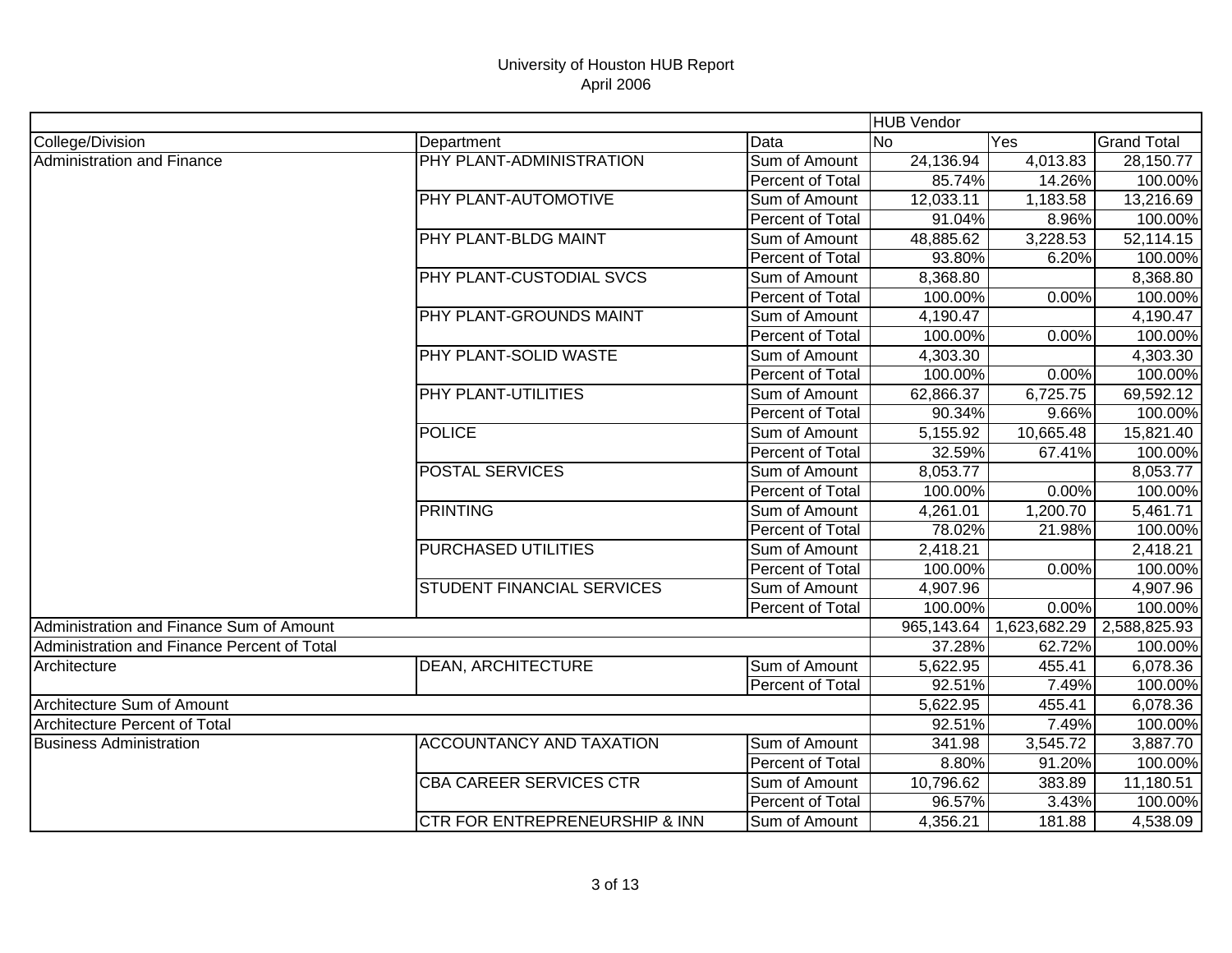|                                             |                                           |                  | <b>HUB Vendor</b> |              |                    |
|---------------------------------------------|-------------------------------------------|------------------|-------------------|--------------|--------------------|
| College/Division                            | Department                                | Data             | N <sub>o</sub>    | Yes          | <b>Grand Total</b> |
| Administration and Finance                  | PHY PLANT-ADMINISTRATION                  | Sum of Amount    | 24,136.94         | 4,013.83     | 28,150.77          |
|                                             |                                           | Percent of Total | 85.74%            | 14.26%       | 100.00%            |
|                                             | PHY PLANT-AUTOMOTIVE                      | Sum of Amount    | 12,033.11         | 1,183.58     | 13,216.69          |
|                                             |                                           | Percent of Total | 91.04%            | 8.96%        | 100.00%            |
|                                             | PHY PLANT-BLDG MAINT                      | Sum of Amount    | 48,885.62         | 3,228.53     | 52,114.15          |
|                                             |                                           | Percent of Total | 93.80%            | 6.20%        | 100.00%            |
|                                             | PHY PLANT-CUSTODIAL SVCS                  | Sum of Amount    | 8,368.80          |              | 8,368.80           |
|                                             |                                           | Percent of Total | 100.00%           | 0.00%        | 100.00%            |
|                                             | PHY PLANT-GROUNDS MAINT                   | Sum of Amount    | 4,190.47          |              | 4,190.47           |
|                                             |                                           | Percent of Total | 100.00%           | 0.00%        | 100.00%            |
|                                             | PHY PLANT-SOLID WASTE                     | Sum of Amount    | 4,303.30          |              | 4,303.30           |
|                                             |                                           | Percent of Total | 100.00%           | 0.00%        | 100.00%            |
|                                             | PHY PLANT-UTILITIES                       | Sum of Amount    | 62,866.37         | 6,725.75     | 69,592.12          |
|                                             |                                           | Percent of Total | 90.34%            | 9.66%        | 100.00%            |
|                                             | <b>POLICE</b>                             | Sum of Amount    | 5,155.92          | 10,665.48    | 15,821.40          |
|                                             |                                           | Percent of Total | 32.59%            | 67.41%       | 100.00%            |
|                                             | <b>POSTAL SERVICES</b>                    | Sum of Amount    | 8,053.77          |              | 8,053.77           |
|                                             |                                           | Percent of Total | 100.00%           | 0.00%        | 100.00%            |
|                                             | <b>PRINTING</b>                           | Sum of Amount    | 4,261.01          | 1,200.70     | 5,461.71           |
|                                             |                                           | Percent of Total | 78.02%            | 21.98%       | 100.00%            |
|                                             | <b>PURCHASED UTILITIES</b>                | Sum of Amount    | 2,418.21          |              | 2,418.21           |
|                                             |                                           | Percent of Total | 100.00%           | 0.00%        | 100.00%            |
|                                             | STUDENT FINANCIAL SERVICES                | Sum of Amount    | 4,907.96          |              | 4,907.96           |
|                                             |                                           | Percent of Total | 100.00%           | 0.00%        | 100.00%            |
| Administration and Finance Sum of Amount    |                                           |                  | 965,143.64        | 1,623,682.29 | 2,588,825.93       |
| Administration and Finance Percent of Total |                                           |                  | 37.28%            | 62.72%       | 100.00%            |
| Architecture                                | <b>DEAN, ARCHITECTURE</b>                 | Sum of Amount    | 5,622.95          | 455.41       | 6,078.36           |
|                                             |                                           | Percent of Total | 92.51%            | 7.49%        | 100.00%            |
| Architecture Sum of Amount                  |                                           | 5,622.95         | 455.41            | 6,078.36     |                    |
| <b>Architecture Percent of Total</b>        |                                           |                  | 92.51%            | 7.49%        | 100.00%            |
| <b>Business Administration</b>              | <b>ACCOUNTANCY AND TAXATION</b>           | Sum of Amount    | 341.98            | 3,545.72     | 3,887.70           |
|                                             |                                           | Percent of Total | 8.80%             | 91.20%       | 100.00%            |
|                                             | <b>CBA CAREER SERVICES CTR</b>            | Sum of Amount    | 10,796.62         | 383.89       | 11,180.51          |
|                                             |                                           | Percent of Total | 96.57%            | 3.43%        | 100.00%            |
|                                             | <b>CTR FOR ENTREPRENEURSHIP &amp; INN</b> | Sum of Amount    | 4,356.21          | 181.88       | 4,538.09           |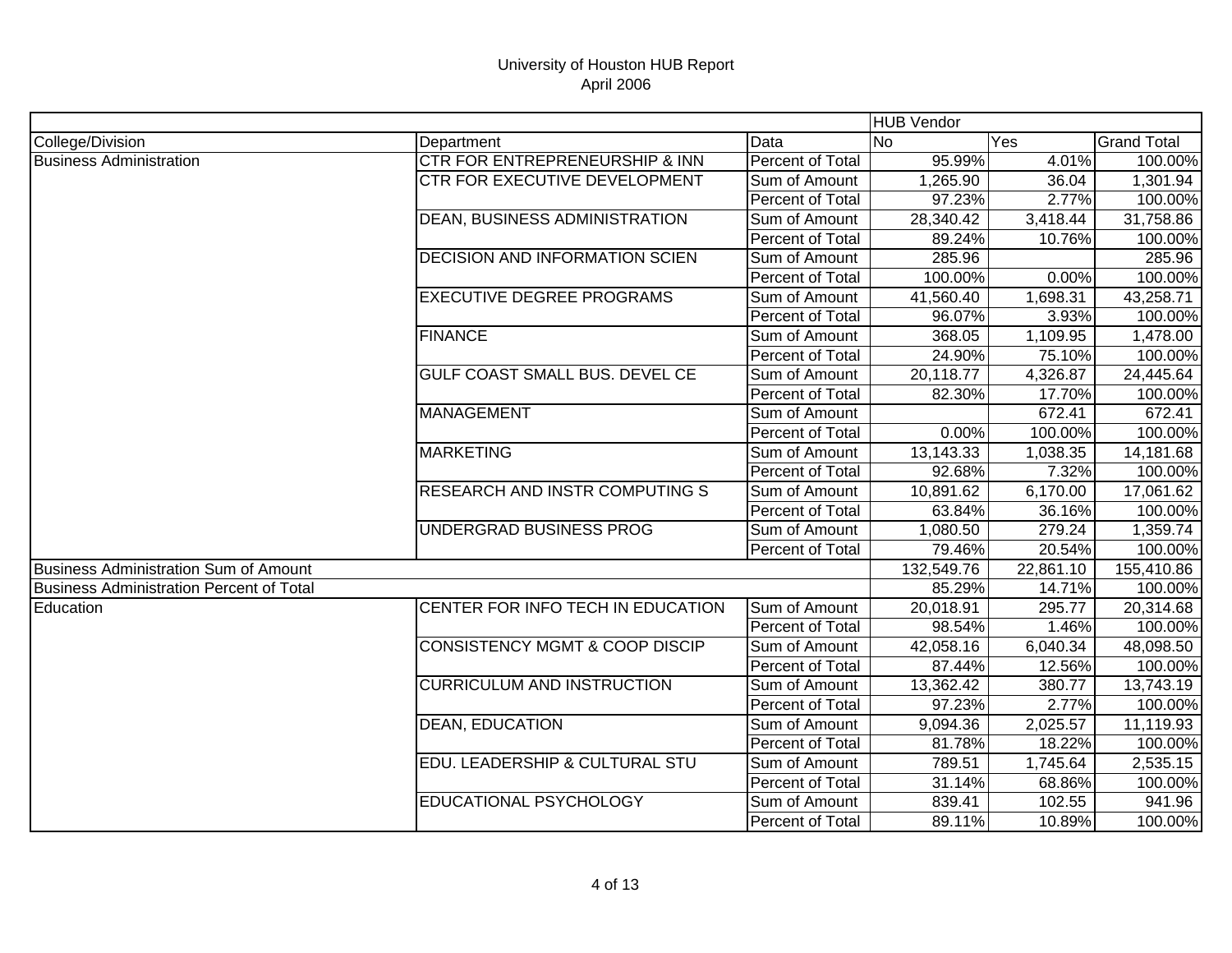|                                                 |                                           |                  | <b>HUB Vendor</b> |           |                    |
|-------------------------------------------------|-------------------------------------------|------------------|-------------------|-----------|--------------------|
| College/Division                                | Department                                | Data             | <b>No</b>         | Yes       | <b>Grand Total</b> |
| <b>Business Administration</b>                  | CTR FOR ENTREPRENEURSHIP & INN            | Percent of Total | 95.99%            | 4.01%     | 100.00%            |
|                                                 | CTR FOR EXECUTIVE DEVELOPMENT             | Sum of Amount    | 1,265.90          | 36.04     | 1,301.94           |
|                                                 |                                           | Percent of Total | 97.23%            | 2.77%     | 100.00%            |
|                                                 | <b>DEAN, BUSINESS ADMINISTRATION</b>      | Sum of Amount    | 28,340.42         | 3,418.44  | 31,758.86          |
|                                                 |                                           | Percent of Total | 89.24%            | 10.76%    | 100.00%            |
|                                                 | <b>DECISION AND INFORMATION SCIEN</b>     | Sum of Amount    | 285.96            |           | 285.96             |
|                                                 |                                           | Percent of Total | 100.00%           | 0.00%     | 100.00%            |
|                                                 | <b>EXECUTIVE DEGREE PROGRAMS</b>          | Sum of Amount    | 41,560.40         | 1,698.31  | 43,258.71          |
|                                                 |                                           | Percent of Total | 96.07%            | 3.93%     | 100.00%            |
|                                                 | <b>FINANCE</b>                            | Sum of Amount    | 368.05            | 1,109.95  | 1,478.00           |
|                                                 |                                           | Percent of Total | 24.90%            | 75.10%    | 100.00%            |
|                                                 | GULF COAST SMALL BUS. DEVEL CE            | Sum of Amount    | 20,118.77         | 4,326.87  | 24,445.64          |
|                                                 |                                           | Percent of Total | 82.30%            | 17.70%    | 100.00%            |
|                                                 | <b>MANAGEMENT</b>                         | Sum of Amount    |                   | 672.41    | 672.41             |
|                                                 |                                           | Percent of Total | 0.00%             | 100.00%   | 100.00%            |
|                                                 | <b>MARKETING</b>                          | Sum of Amount    | 13,143.33         | 1,038.35  | 14,181.68          |
|                                                 |                                           | Percent of Total | 92.68%            | 7.32%     | 100.00%            |
|                                                 | <b>RESEARCH AND INSTR COMPUTING S</b>     | Sum of Amount    | 10,891.62         | 6,170.00  | 17,061.62          |
|                                                 |                                           | Percent of Total | 63.84%            | 36.16%    | 100.00%            |
|                                                 | UNDERGRAD BUSINESS PROG                   | Sum of Amount    | 1,080.50          | 279.24    | 1,359.74           |
|                                                 |                                           | Percent of Total | 79.46%            | 20.54%    | 100.00%            |
| <b>Business Administration Sum of Amount</b>    |                                           |                  | 132,549.76        | 22,861.10 | 155,410.86         |
| <b>Business Administration Percent of Total</b> |                                           |                  | 85.29%            | 14.71%    | 100.00%            |
| Education                                       | CENTER FOR INFO TECH IN EDUCATION         | Sum of Amount    | 20,018.91         | 295.77    | 20,314.68          |
|                                                 |                                           | Percent of Total | 98.54%            | 1.46%     | 100.00%            |
|                                                 | <b>CONSISTENCY MGMT &amp; COOP DISCIP</b> | Sum of Amount    | 42,058.16         | 6,040.34  | 48,098.50          |
|                                                 |                                           | Percent of Total | 87.44%            | 12.56%    | 100.00%            |
|                                                 | <b>CURRICULUM AND INSTRUCTION</b>         | Sum of Amount    | 13,362.42         | 380.77    | 13,743.19          |
|                                                 |                                           | Percent of Total | 97.23%            | 2.77%     | 100.00%            |
|                                                 | <b>DEAN, EDUCATION</b>                    | Sum of Amount    | 9,094.36          | 2,025.57  | 11,119.93          |
|                                                 |                                           | Percent of Total | 81.78%            | 18.22%    | 100.00%            |
|                                                 | EDU. LEADERSHIP & CULTURAL STU            | Sum of Amount    | 789.51            | 1,745.64  | 2,535.15           |
|                                                 |                                           | Percent of Total | 31.14%            | 68.86%    | 100.00%            |
|                                                 | EDUCATIONAL PSYCHOLOGY                    | Sum of Amount    | 839.41            | 102.55    | 941.96             |
|                                                 |                                           | Percent of Total | 89.11%            | 10.89%    | 100.00%            |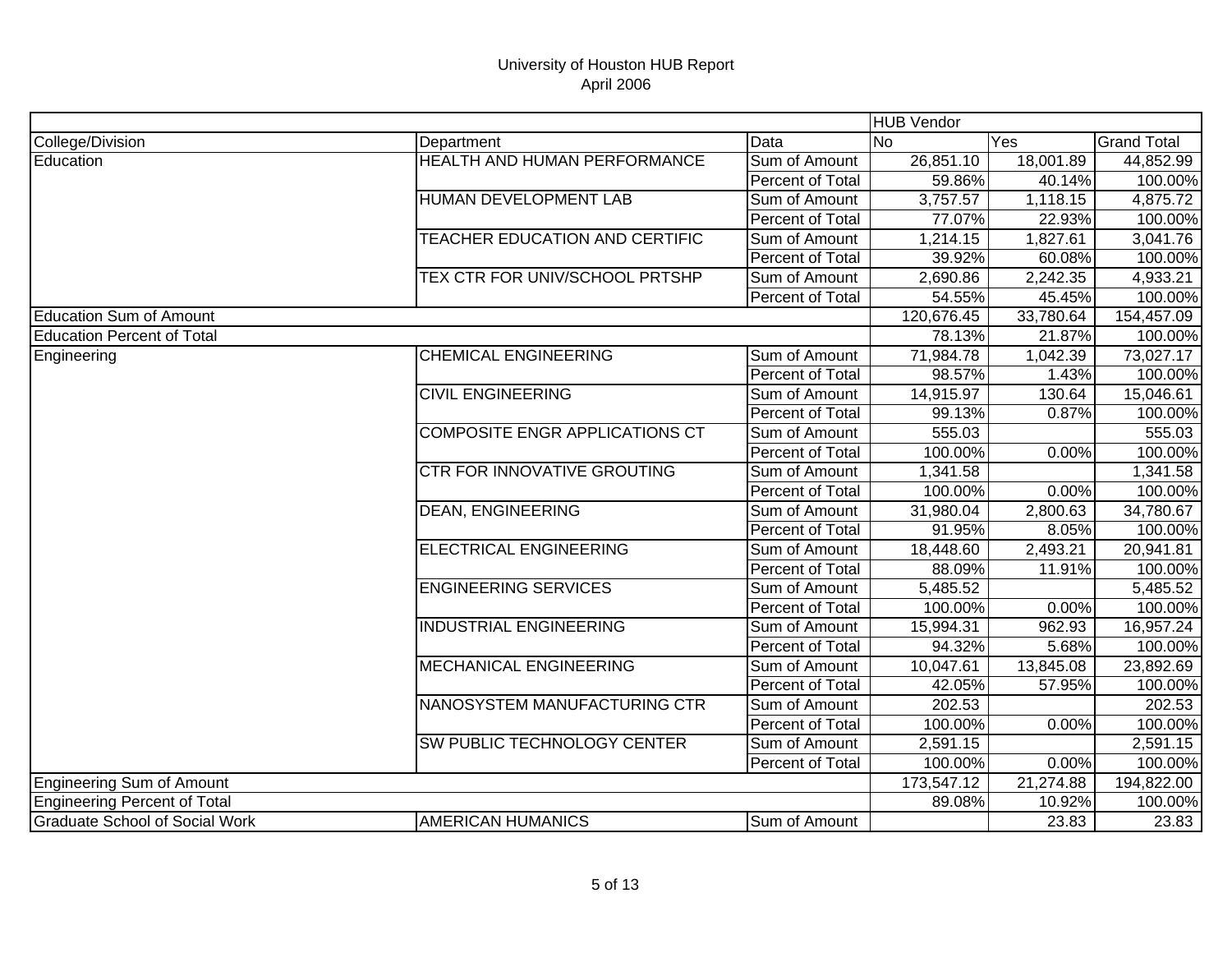|                                       |                                       |                  | <b>HUB Vendor</b> |           |                    |
|---------------------------------------|---------------------------------------|------------------|-------------------|-----------|--------------------|
| College/Division                      | Department                            | Data             | N <sub>0</sub>    | Yes       | <b>Grand Total</b> |
| Education                             | HEALTH AND HUMAN PERFORMANCE          | Sum of Amount    | 26,851.10         | 18,001.89 | 44,852.99          |
|                                       |                                       | Percent of Total | 59.86%            | 40.14%    | 100.00%            |
|                                       | HUMAN DEVELOPMENT LAB                 | Sum of Amount    | 3,757.57          | 1,118.15  | 4,875.72           |
|                                       |                                       | Percent of Total | 77.07%            | 22.93%    | 100.00%            |
|                                       | TEACHER EDUCATION AND CERTIFIC        | Sum of Amount    | 1,214.15          | 1,827.61  | 3,041.76           |
|                                       |                                       | Percent of Total | 39.92%            | 60.08%    | 100.00%            |
|                                       | TEX CTR FOR UNIV/SCHOOL PRTSHP        | Sum of Amount    | 2,690.86          | 2,242.35  | 4,933.21           |
|                                       |                                       | Percent of Total | 54.55%            | 45.45%    | 100.00%            |
| <b>Education Sum of Amount</b>        |                                       |                  | 120,676.45        | 33,780.64 | 154,457.09         |
| <b>Education Percent of Total</b>     |                                       |                  | 78.13%            | 21.87%    | 100.00%            |
| Engineering                           | <b>CHEMICAL ENGINEERING</b>           | Sum of Amount    | 71,984.78         | 1,042.39  | 73,027.17          |
|                                       |                                       | Percent of Total | 98.57%            | 1.43%     | 100.00%            |
|                                       | <b>CIVIL ENGINEERING</b>              | Sum of Amount    | 14,915.97         | 130.64    | 15,046.61          |
|                                       |                                       | Percent of Total | 99.13%            | 0.87%     | 100.00%            |
|                                       | <b>COMPOSITE ENGR APPLICATIONS CT</b> | Sum of Amount    | 555.03            |           | 555.03             |
|                                       |                                       | Percent of Total | 100.00%           | 0.00%     | 100.00%            |
|                                       | <b>CTR FOR INNOVATIVE GROUTING</b>    | Sum of Amount    | 1,341.58          |           | 1,341.58           |
|                                       |                                       | Percent of Total | 100.00%           | 0.00%     | 100.00%            |
|                                       | <b>DEAN, ENGINEERING</b>              | Sum of Amount    | 31,980.04         | 2,800.63  | 34,780.67          |
|                                       |                                       | Percent of Total | 91.95%            | 8.05%     | 100.00%            |
|                                       | <b>ELECTRICAL ENGINEERING</b>         | Sum of Amount    | 18,448.60         | 2,493.21  | 20,941.81          |
|                                       |                                       | Percent of Total | 88.09%            | 11.91%    | 100.00%            |
|                                       | <b>ENGINEERING SERVICES</b>           | Sum of Amount    | 5,485.52          |           | 5,485.52           |
|                                       |                                       | Percent of Total | 100.00%           | 0.00%     | 100.00%            |
|                                       | <b>INDUSTRIAL ENGINEERING</b>         | Sum of Amount    | 15,994.31         | 962.93    | 16,957.24          |
|                                       |                                       | Percent of Total | 94.32%            | 5.68%     | 100.00%            |
|                                       | <b>MECHANICAL ENGINEERING</b>         | Sum of Amount    | 10,047.61         | 13,845.08 | 23,892.69          |
|                                       |                                       | Percent of Total | 42.05%            | 57.95%    | 100.00%            |
|                                       | NANOSYSTEM MANUFACTURING CTR          | Sum of Amount    | 202.53            |           | 202.53             |
|                                       |                                       | Percent of Total | 100.00%           | 0.00%     | 100.00%            |
|                                       | <b>SW PUBLIC TECHNOLOGY CENTER</b>    | Sum of Amount    | 2,591.15          |           | 2,591.15           |
|                                       |                                       | Percent of Total | 100.00%           | 0.00%     | 100.00%            |
| Engineering Sum of Amount             |                                       |                  | 173,547.12        | 21,274.88 | 194,822.00         |
| Engineering Percent of Total          |                                       |                  | 89.08%            | 10.92%    | 100.00%            |
| <b>Graduate School of Social Work</b> | <b>AMERICAN HUMANICS</b>              | Sum of Amount    |                   | 23.83     | 23.83              |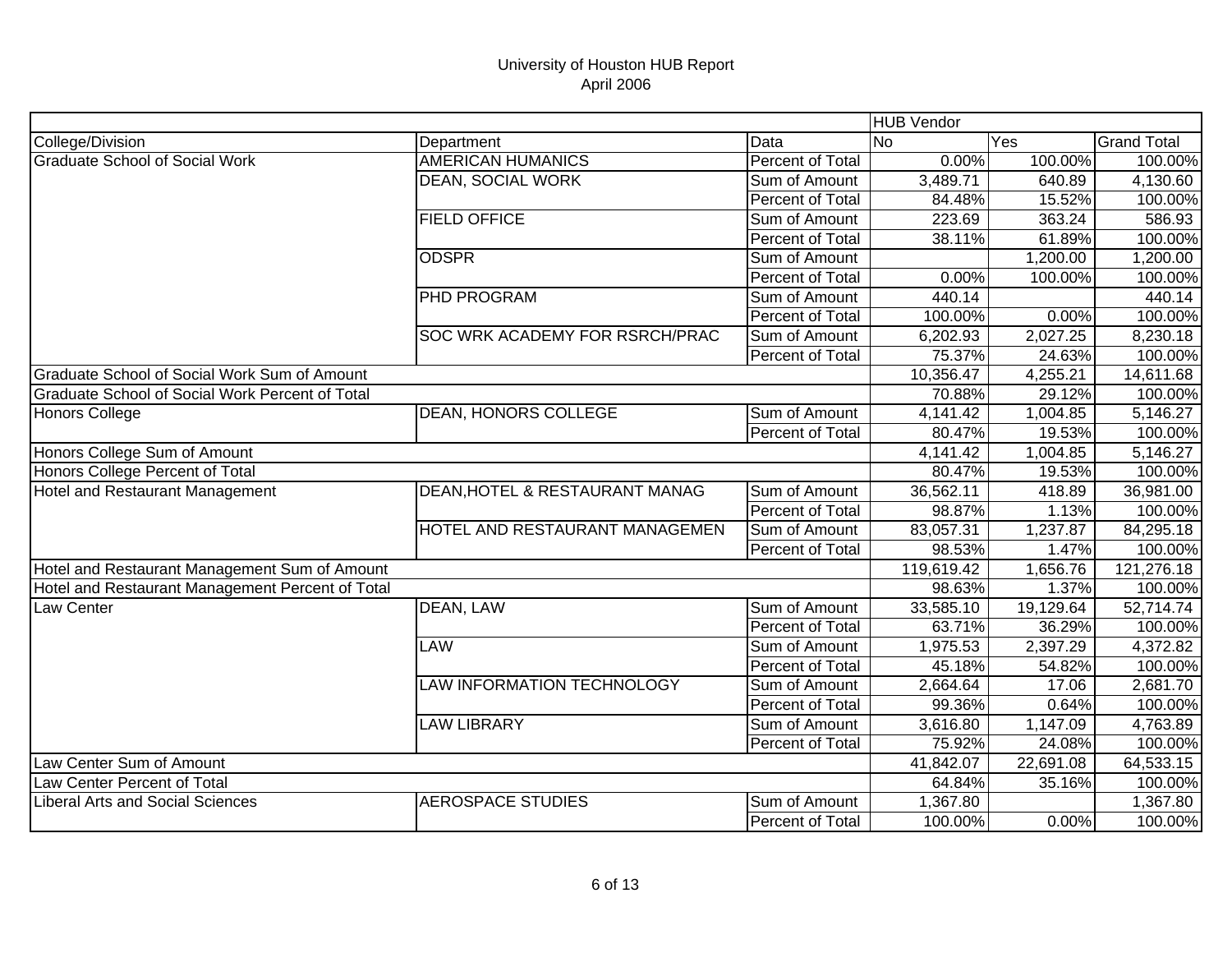|                                                  |                                   |                         | <b>HUB Vendor</b> |           |                    |
|--------------------------------------------------|-----------------------------------|-------------------------|-------------------|-----------|--------------------|
| College/Division                                 | Department                        | Data                    | $\overline{N}$    | Yes       | <b>Grand Total</b> |
| <b>Graduate School of Social Work</b>            | <b>AMERICAN HUMANICS</b>          | Percent of Total        | 0.00%             | 100.00%   | 100.00%            |
|                                                  | DEAN, SOCIAL WORK                 | Sum of Amount           | 3,489.71          | 640.89    | 4,130.60           |
|                                                  |                                   | Percent of Total        | 84.48%            | 15.52%    | 100.00%            |
|                                                  | <b>FIELD OFFICE</b>               | Sum of Amount           | 223.69            | 363.24    | 586.93             |
|                                                  |                                   | Percent of Total        | 38.11%            | 61.89%    | 100.00%            |
|                                                  | <b>ODSPR</b>                      | Sum of Amount           |                   | 1,200.00  | 1,200.00           |
|                                                  |                                   | Percent of Total        | 0.00%             | 100.00%   | 100.00%            |
|                                                  | PHD PROGRAM                       | Sum of Amount           | 440.14            |           | 440.14             |
|                                                  |                                   | Percent of Total        | 100.00%           | 0.00%     | 100.00%            |
|                                                  | SOC WRK ACADEMY FOR RSRCH/PRAC    | Sum of Amount           | 6,202.93          | 2,027.25  | 8,230.18           |
|                                                  |                                   | Percent of Total        | 75.37%            | 24.63%    | 100.00%            |
| Graduate School of Social Work Sum of Amount     |                                   |                         | 10,356.47         | 4,255.21  | 14,611.68          |
| Graduate School of Social Work Percent of Total  |                                   |                         | 70.88%            | 29.12%    | 100.00%            |
| <b>Honors College</b>                            | <b>DEAN, HONORS COLLEGE</b>       | Sum of Amount           | 4,141.42          | 1,004.85  | 5,146.27           |
|                                                  |                                   | Percent of Total        | 80.47%            | 19.53%    | 100.00%            |
| Honors College Sum of Amount                     |                                   |                         | 4,141.42          | 1,004.85  | 5,146.27           |
| Honors College Percent of Total                  |                                   |                         | 80.47%            | 19.53%    | 100.00%            |
| <b>Hotel and Restaurant Management</b>           | DEAN, HOTEL & RESTAURANT MANAG    | Sum of Amount           | 36,562.11         | 418.89    | 36,981.00          |
|                                                  |                                   | Percent of Total        | 98.87%            | 1.13%     | 100.00%            |
|                                                  | HOTEL AND RESTAURANT MANAGEMEN    | Sum of Amount           | 83,057.31         | 1,237.87  | 84,295.18          |
|                                                  |                                   | Percent of Total        | 98.53%            | 1.47%     | 100.00%            |
| Hotel and Restaurant Management Sum of Amount    |                                   |                         | 119,619.42        | 1,656.76  | 121,276.18         |
| Hotel and Restaurant Management Percent of Total |                                   |                         | 98.63%            | 1.37%     | 100.00%            |
| Law Center                                       | DEAN, LAW                         | Sum of Amount           | 33,585.10         | 19,129.64 | 52,714.74          |
|                                                  |                                   | Percent of Total        | 63.71%            | 36.29%    | 100.00%            |
|                                                  | <b>LAW</b>                        | Sum of Amount           | 1,975.53          | 2,397.29  | 4,372.82           |
|                                                  |                                   | Percent of Total        | 45.18%            | 54.82%    | 100.00%            |
|                                                  | <b>LAW INFORMATION TECHNOLOGY</b> | Sum of Amount           | 2,664.64          | 17.06     | 2,681.70           |
|                                                  |                                   | Percent of Total        | 99.36%            | 0.64%     | 100.00%            |
|                                                  | <b>LAW LIBRARY</b>                | Sum of Amount           | 3,616.80          | 1,147.09  | 4,763.89           |
|                                                  |                                   | Percent of Total        | 75.92%            | 24.08%    | 100.00%            |
| Law Center Sum of Amount                         |                                   |                         | 41,842.07         | 22,691.08 | 64,533.15          |
| Law Center Percent of Total                      |                                   |                         | 64.84%            | 35.16%    | 100.00%            |
| <b>Liberal Arts and Social Sciences</b>          | <b>AEROSPACE STUDIES</b>          | Sum of Amount           | 1,367.80          |           | 1,367.80           |
|                                                  |                                   | <b>Percent of Total</b> | 100.00%           | 0.00%     | 100.00%            |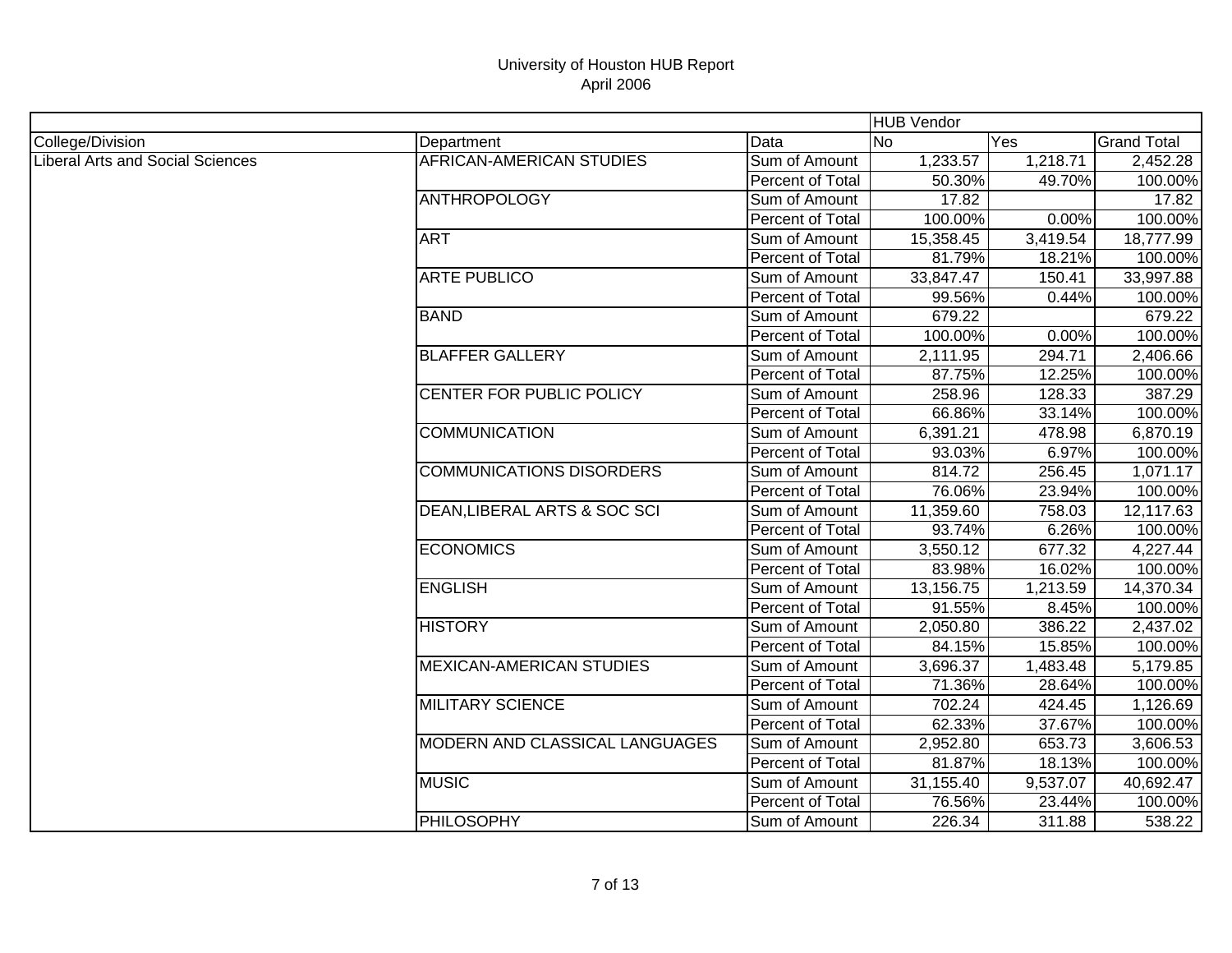|                                         |                                 |                  | <b>HUB Vendor</b>     |          |                    |
|-----------------------------------------|---------------------------------|------------------|-----------------------|----------|--------------------|
| College/Division                        | Department                      | Data             | Yes<br>N <sub>o</sub> |          | <b>Grand Total</b> |
| <b>Liberal Arts and Social Sciences</b> | AFRICAN-AMERICAN STUDIES        | Sum of Amount    | 1,233.57              | 1,218.71 | 2,452.28           |
|                                         |                                 | Percent of Total | 50.30%                | 49.70%   | 100.00%            |
|                                         | <b>ANTHROPOLOGY</b>             | Sum of Amount    | 17.82                 |          | 17.82              |
|                                         |                                 | Percent of Total | 100.00%               | 0.00%    | 100.00%            |
|                                         | <b>ART</b>                      | Sum of Amount    | 15,358.45             | 3,419.54 | 18,777.99          |
|                                         |                                 | Percent of Total | 81.79%                | 18.21%   | 100.00%            |
|                                         | <b>ARTE PUBLICO</b>             | Sum of Amount    | 33,847.47             | 150.41   | 33,997.88          |
|                                         |                                 | Percent of Total | 99.56%                | 0.44%    | 100.00%            |
|                                         | <b>BAND</b>                     | Sum of Amount    | 679.22                |          | 679.22             |
|                                         |                                 | Percent of Total | 100.00%               | 0.00%    | 100.00%            |
|                                         | <b>BLAFFER GALLERY</b>          | Sum of Amount    | 2,111.95              | 294.71   | 2,406.66           |
|                                         |                                 | Percent of Total | 87.75%                | 12.25%   | 100.00%            |
|                                         | CENTER FOR PUBLIC POLICY        | Sum of Amount    | 258.96                | 128.33   | 387.29             |
|                                         |                                 | Percent of Total | 66.86%                | 33.14%   | 100.00%            |
|                                         | <b>COMMUNICATION</b>            | Sum of Amount    | 6,391.21              | 478.98   | 6,870.19           |
|                                         |                                 | Percent of Total | 93.03%                | 6.97%    | 100.00%            |
|                                         | <b>COMMUNICATIONS DISORDERS</b> | Sum of Amount    | 814.72                | 256.45   | 1,071.17           |
|                                         |                                 | Percent of Total | 76.06%                | 23.94%   | 100.00%            |
|                                         | DEAN, LIBERAL ARTS & SOC SCI    | Sum of Amount    | 11,359.60             | 758.03   | 12,117.63          |
|                                         |                                 | Percent of Total | 93.74%                | 6.26%    | 100.00%            |
|                                         | <b>ECONOMICS</b>                | Sum of Amount    | 3,550.12              | 677.32   | 4,227.44           |
|                                         |                                 | Percent of Total | 83.98%                | 16.02%   | 100.00%            |
|                                         | <b>ENGLISH</b>                  | Sum of Amount    | 13,156.75             | 1,213.59 | 14,370.34          |
|                                         |                                 | Percent of Total | 91.55%                | 8.45%    | 100.00%            |
|                                         | <b>HISTORY</b>                  | Sum of Amount    | 2,050.80              | 386.22   | 2,437.02           |
|                                         |                                 | Percent of Total | 84.15%                | 15.85%   | 100.00%            |
|                                         | <b>MEXICAN-AMERICAN STUDIES</b> | Sum of Amount    | 3,696.37              | 1,483.48 | 5,179.85           |
|                                         |                                 | Percent of Total | 71.36%                | 28.64%   | 100.00%            |
|                                         | <b>MILITARY SCIENCE</b>         | Sum of Amount    | 702.24                | 424.45   | 1,126.69           |
|                                         |                                 | Percent of Total | 62.33%                | 37.67%   | 100.00%            |
|                                         | MODERN AND CLASSICAL LANGUAGES  | Sum of Amount    | 2,952.80              | 653.73   | 3,606.53           |
|                                         |                                 | Percent of Total | 81.87%                | 18.13%   | 100.00%            |
|                                         | <b>MUSIC</b>                    | Sum of Amount    | 31,155.40             | 9,537.07 | 40,692.47          |
|                                         |                                 | Percent of Total | 76.56%                | 23.44%   | 100.00%            |
|                                         | PHILOSOPHY                      | Sum of Amount    | 226.34                | 311.88   | 538.22             |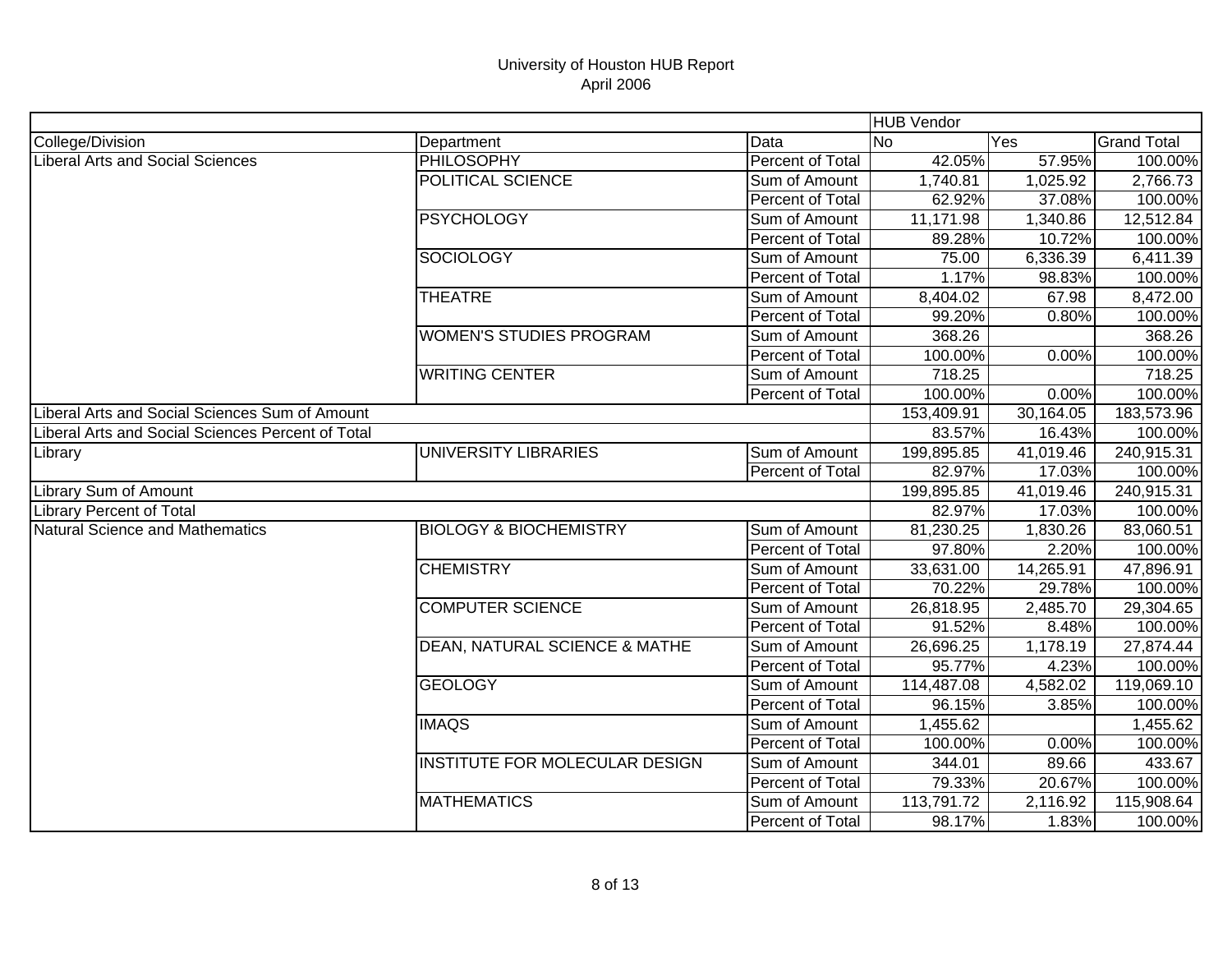|                                                   |                                          |                  | <b>HUB</b> Vendor |           |                    |
|---------------------------------------------------|------------------------------------------|------------------|-------------------|-----------|--------------------|
| College/Division                                  | Department                               | Data             | <b>No</b>         | Yes       | <b>Grand Total</b> |
| <b>Liberal Arts and Social Sciences</b>           | <b>PHILOSOPHY</b>                        | Percent of Total | 42.05%            | 57.95%    | 100.00%            |
|                                                   | POLITICAL SCIENCE                        | Sum of Amount    | 1,740.81          | 1,025.92  | 2,766.73           |
|                                                   |                                          | Percent of Total | 62.92%            | 37.08%    | 100.00%            |
|                                                   | <b>PSYCHOLOGY</b>                        | Sum of Amount    | 11,171.98         | 1,340.86  | 12,512.84          |
|                                                   |                                          | Percent of Total | 89.28%            | 10.72%    | 100.00%            |
|                                                   | <b>SOCIOLOGY</b>                         | Sum of Amount    | 75.00             | 6,336.39  | 6,411.39           |
|                                                   |                                          | Percent of Total | 1.17%             | 98.83%    | 100.00%            |
|                                                   | <b>THEATRE</b>                           | Sum of Amount    | 8,404.02          | 67.98     | 8,472.00           |
|                                                   |                                          | Percent of Total | 99.20%            | 0.80%     | 100.00%            |
|                                                   | <b>WOMEN'S STUDIES PROGRAM</b>           | Sum of Amount    | 368.26            |           | 368.26             |
|                                                   |                                          | Percent of Total | 100.00%           | 0.00%     | 100.00%            |
|                                                   | <b>WRITING CENTER</b>                    | Sum of Amount    | 718.25            |           | 718.25             |
|                                                   |                                          | Percent of Total | 100.00%           | 0.00%     | 100.00%            |
| Liberal Arts and Social Sciences Sum of Amount    |                                          |                  | 153,409.91        | 30,164.05 | 183,573.96         |
| Liberal Arts and Social Sciences Percent of Total |                                          |                  | 83.57%            | 16.43%    | 100.00%            |
| Library                                           | <b>UNIVERSITY LIBRARIES</b>              | Sum of Amount    | 199,895.85        | 41,019.46 | 240,915.31         |
|                                                   |                                          | Percent of Total | 82.97%            | 17.03%    | 100.00%            |
| Library Sum of Amount                             |                                          |                  | 199,895.85        | 41,019.46 | 240,915.31         |
| <b>Library Percent of Total</b>                   |                                          |                  | 82.97%            | 17.03%    | 100.00%            |
| <b>Natural Science and Mathematics</b>            | <b>BIOLOGY &amp; BIOCHEMISTRY</b>        | Sum of Amount    | 81,230.25         | 1,830.26  | 83,060.51          |
|                                                   |                                          | Percent of Total | 97.80%            | 2.20%     | 100.00%            |
|                                                   | <b>CHEMISTRY</b>                         | Sum of Amount    | 33,631.00         | 14,265.91 | 47,896.91          |
|                                                   |                                          | Percent of Total | 70.22%            | 29.78%    | 100.00%            |
|                                                   | <b>COMPUTER SCIENCE</b>                  | Sum of Amount    | 26,818.95         | 2,485.70  | 29,304.65          |
|                                                   |                                          | Percent of Total | 91.52%            | 8.48%     | 100.00%            |
|                                                   | <b>DEAN, NATURAL SCIENCE &amp; MATHE</b> | Sum of Amount    | 26,696.25         | 1,178.19  | 27,874.44          |
|                                                   |                                          | Percent of Total | 95.77%            | 4.23%     | 100.00%            |
|                                                   | <b>GEOLOGY</b>                           | Sum of Amount    | 114,487.08        | 4,582.02  | 119,069.10         |
|                                                   |                                          | Percent of Total | 96.15%            | 3.85%     | 100.00%            |
|                                                   | <b>IMAQS</b>                             | Sum of Amount    | 1,455.62          |           | 1,455.62           |
|                                                   |                                          | Percent of Total | 100.00%           | 0.00%     | 100.00%            |
|                                                   | <b>INSTITUTE FOR MOLECULAR DESIGN</b>    | Sum of Amount    | 344.01            | 89.66     | 433.67             |
|                                                   |                                          | Percent of Total | 79.33%            | 20.67%    | 100.00%            |
|                                                   | <b>MATHEMATICS</b>                       | Sum of Amount    | 113,791.72        | 2,116.92  | 115,908.64         |
|                                                   |                                          | Percent of Total | 98.17%            | 1.83%     | 100.00%            |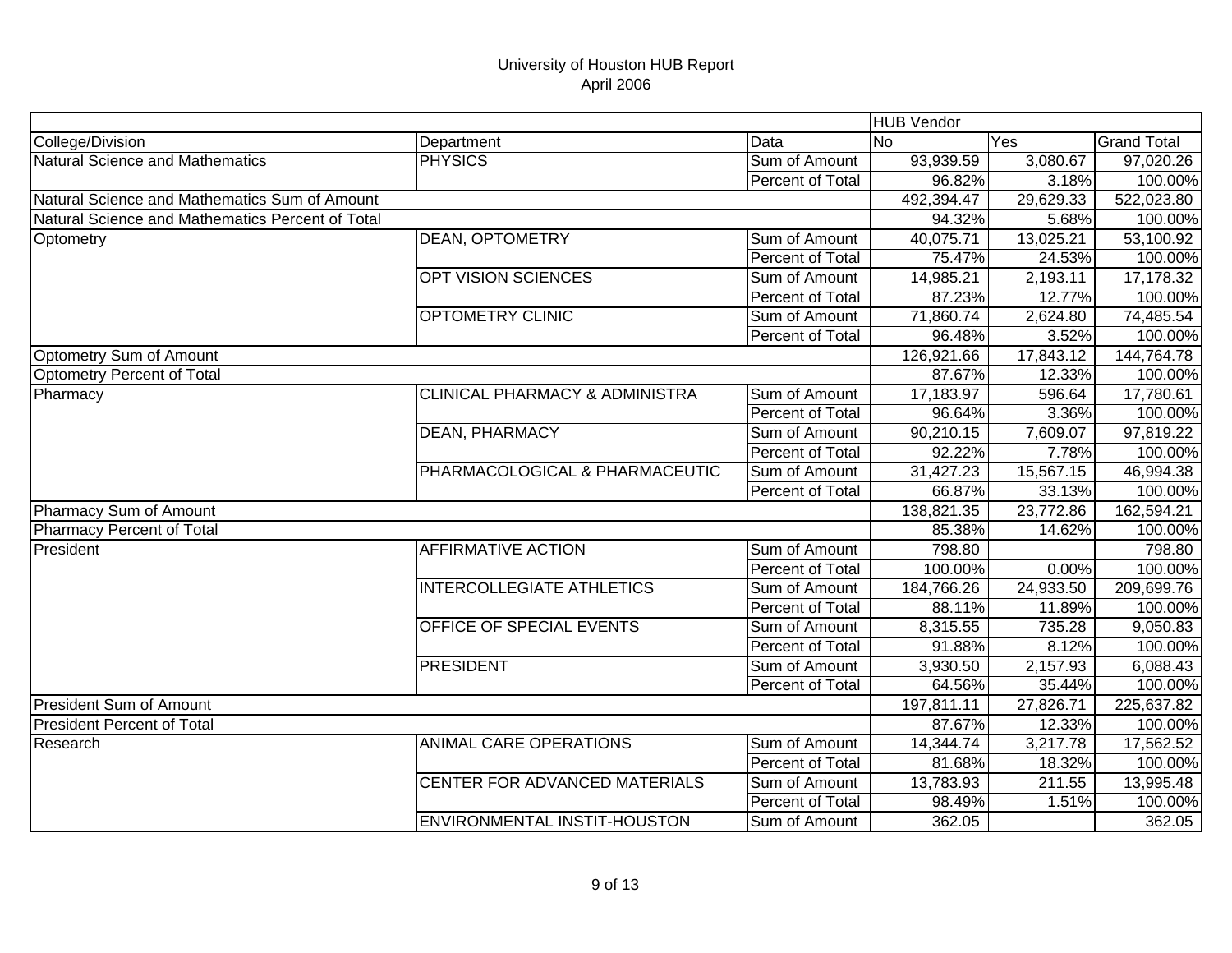|                                                  |                                           |                         | <b>HUB Vendor</b> |           |                    |
|--------------------------------------------------|-------------------------------------------|-------------------------|-------------------|-----------|--------------------|
| College/Division                                 | Department                                | Data                    | <b>No</b>         | Yes       | <b>Grand Total</b> |
| Natural Science and Mathematics                  | <b>PHYSICS</b>                            | Sum of Amount           | 93,939.59         | 3,080.67  | 97,020.26          |
|                                                  |                                           | Percent of Total        | 96.82%            | 3.18%     | 100.00%            |
| Natural Science and Mathematics Sum of Amount    |                                           |                         | 492,394.47        | 29,629.33 | 522,023.80         |
| Natural Science and Mathematics Percent of Total |                                           |                         | 94.32%            | 5.68%     | 100.00%            |
| Optometry                                        | <b>DEAN, OPTOMETRY</b>                    | Sum of Amount           | 40,075.71         | 13,025.21 | 53,100.92          |
|                                                  |                                           | Percent of Total        | 75.47%            | 24.53%    | 100.00%            |
|                                                  | <b>OPT VISION SCIENCES</b>                | Sum of Amount           | 14,985.21         | 2,193.11  | 17,178.32          |
|                                                  |                                           | <b>Percent of Total</b> | 87.23%            | 12.77%    | 100.00%            |
|                                                  | <b>OPTOMETRY CLINIC</b>                   | Sum of Amount           | 71,860.74         | 2,624.80  | 74,485.54          |
|                                                  |                                           | Percent of Total        | 96.48%            | 3.52%     | 100.00%            |
| Optometry Sum of Amount                          |                                           |                         | 126,921.66        | 17,843.12 | 144,764.78         |
| Optometry Percent of Total                       |                                           |                         | 87.67%            | 12.33%    | 100.00%            |
| Pharmacy                                         | <b>CLINICAL PHARMACY &amp; ADMINISTRA</b> | Sum of Amount           | 17,183.97         | 596.64    | 17,780.61          |
|                                                  |                                           | Percent of Total        | 96.64%            | 3.36%     | 100.00%            |
|                                                  | <b>DEAN, PHARMACY</b>                     | Sum of Amount           | 90,210.15         | 7,609.07  | 97,819.22          |
|                                                  |                                           | Percent of Total        | 92.22%            | 7.78%     | 100.00%            |
|                                                  | PHARMACOLOGICAL & PHARMACEUTIC            | Sum of Amount           | 31,427.23         | 15,567.15 | 46,994.38          |
|                                                  |                                           | Percent of Total        | 66.87%            | 33.13%    | 100.00%            |
| Pharmacy Sum of Amount                           |                                           |                         | 138,821.35        | 23,772.86 | 162,594.21         |
| Pharmacy Percent of Total                        |                                           |                         | 85.38%            | 14.62%    | 100.00%            |
| President                                        | <b>AFFIRMATIVE ACTION</b>                 | Sum of Amount           | 798.80            |           | 798.80             |
|                                                  |                                           | Percent of Total        | 100.00%           | 0.00%     | 100.00%            |
|                                                  | INTERCOLLEGIATE ATHLETICS                 | Sum of Amount           | 184,766.26        | 24,933.50 | 209,699.76         |
|                                                  |                                           | Percent of Total        | 88.11%            | 11.89%    | 100.00%            |
|                                                  | OFFICE OF SPECIAL EVENTS                  | Sum of Amount           | 8,315.55          | 735.28    | 9,050.83           |
|                                                  |                                           | Percent of Total        | 91.88%            | 8.12%     | 100.00%            |
|                                                  | <b>PRESIDENT</b>                          | Sum of Amount           | 3,930.50          | 2,157.93  | 6,088.43           |
|                                                  |                                           | Percent of Total        | 64.56%            | 35.44%    | 100.00%            |
| <b>President Sum of Amount</b>                   |                                           |                         | 197,811.11        | 27,826.71 | 225,637.82         |
| <b>President Percent of Total</b>                |                                           |                         | 87.67%            | 12.33%    | 100.00%            |
| Research                                         | <b>ANIMAL CARE OPERATIONS</b>             | Sum of Amount           | 14,344.74         | 3,217.78  | 17,562.52          |
|                                                  |                                           | Percent of Total        | 81.68%            | 18.32%    | 100.00%            |
|                                                  | CENTER FOR ADVANCED MATERIALS             | Sum of Amount           | 13,783.93         | 211.55    | 13,995.48          |
|                                                  |                                           | Percent of Total        | 98.49%            | 1.51%     | 100.00%            |
|                                                  | ENVIRONMENTAL INSTIT-HOUSTON              | Sum of Amount           | 362.05            |           | 362.05             |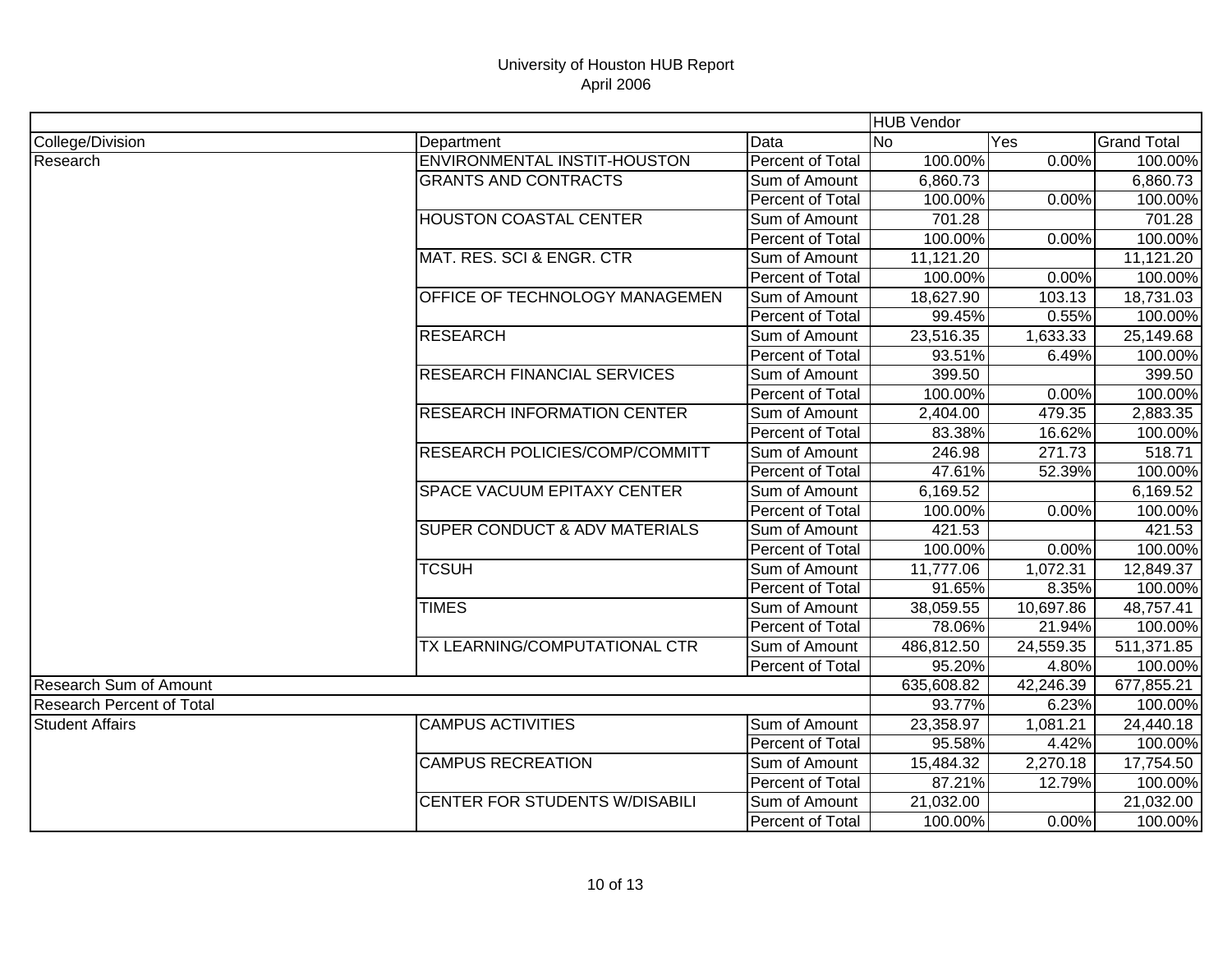|                                  |                                          |                         | <b>HUB Vendor</b> |           |                    |
|----------------------------------|------------------------------------------|-------------------------|-------------------|-----------|--------------------|
| College/Division                 | Department                               | Data                    | <b>No</b>         | Yes       | <b>Grand Total</b> |
| Research                         | <b>ENVIRONMENTAL INSTIT-HOUSTON</b>      | Percent of Total        | 100.00%           | 0.00%     | 100.00%            |
|                                  | <b>GRANTS AND CONTRACTS</b>              | Sum of Amount           | 6,860.73          |           | 6,860.73           |
|                                  |                                          | Percent of Total        | 100.00%           | 0.00%     | 100.00%            |
|                                  | <b>HOUSTON COASTAL CENTER</b>            | Sum of Amount           | 701.28            |           | 701.28             |
|                                  |                                          | Percent of Total        | 100.00%           | 0.00%     | 100.00%            |
|                                  | MAT. RES. SCI & ENGR. CTR                | Sum of Amount           | 11,121.20         |           | 11,121.20          |
|                                  |                                          | Percent of Total        | 100.00%           | 0.00%     | 100.00%            |
|                                  | OFFICE OF TECHNOLOGY MANAGEMEN           | Sum of Amount           | 18,627.90         | 103.13    | 18,731.03          |
|                                  |                                          | Percent of Total        | 99.45%            | 0.55%     | 100.00%            |
|                                  | <b>RESEARCH</b>                          | Sum of Amount           | 23,516.35         | 1,633.33  | 25,149.68          |
|                                  |                                          | Percent of Total        | 93.51%            | 6.49%     | 100.00%            |
|                                  | <b>RESEARCH FINANCIAL SERVICES</b>       | Sum of Amount           | 399.50            |           | 399.50             |
|                                  |                                          | Percent of Total        | 100.00%           | 0.00%     | 100.00%            |
|                                  | <b>RESEARCH INFORMATION CENTER</b>       | Sum of Amount           | 2,404.00          | 479.35    | 2,883.35           |
|                                  |                                          | Percent of Total        | 83.38%            | 16.62%    | 100.00%            |
|                                  | <b>RESEARCH POLICIES/COMP/COMMITT</b>    | Sum of Amount           | 246.98            | 271.73    | 518.71             |
|                                  |                                          | <b>Percent of Total</b> | 47.61%            | 52.39%    | 100.00%            |
|                                  | <b>SPACE VACUUM EPITAXY CENTER</b>       | Sum of Amount           | 6,169.52          |           | 6,169.52           |
|                                  |                                          | Percent of Total        | 100.00%           | 0.00%     | 100.00%            |
|                                  | <b>SUPER CONDUCT &amp; ADV MATERIALS</b> | Sum of Amount           | 421.53            |           | 421.53             |
|                                  |                                          | Percent of Total        | 100.00%           | 0.00%     | 100.00%            |
|                                  | <b>TCSUH</b>                             | Sum of Amount           | 11,777.06         | 1,072.31  | 12,849.37          |
|                                  |                                          | Percent of Total        | 91.65%            | 8.35%     | 100.00%            |
|                                  | <b>TIMES</b>                             | Sum of Amount           | 38,059.55         | 10,697.86 | 48,757.41          |
|                                  |                                          | Percent of Total        | 78.06%            | 21.94%    | 100.00%            |
|                                  | TX LEARNING/COMPUTATIONAL CTR            | Sum of Amount           | 486,812.50        | 24,559.35 | 511,371.85         |
|                                  |                                          | Percent of Total        | 95.20%            | 4.80%     | 100.00%            |
| <b>Research Sum of Amount</b>    |                                          |                         | 635,608.82        | 42,246.39 | 677,855.21         |
| <b>Research Percent of Total</b> |                                          |                         | 93.77%            | 6.23%     | 100.00%            |
| <b>Student Affairs</b>           | <b>CAMPUS ACTIVITIES</b>                 | Sum of Amount           | 23,358.97         | 1,081.21  | 24,440.18          |
|                                  |                                          | Percent of Total        | 95.58%            | 4.42%     | 100.00%            |
|                                  | <b>CAMPUS RECREATION</b>                 | Sum of Amount           | 15,484.32         | 2,270.18  | 17,754.50          |
|                                  |                                          | Percent of Total        | 87.21%            | 12.79%    | 100.00%            |
|                                  | CENTER FOR STUDENTS W/DISABILI           | Sum of Amount           | 21,032.00         |           | 21,032.00          |
|                                  |                                          | Percent of Total        | 100.00%           | 0.00%     | 100.00%            |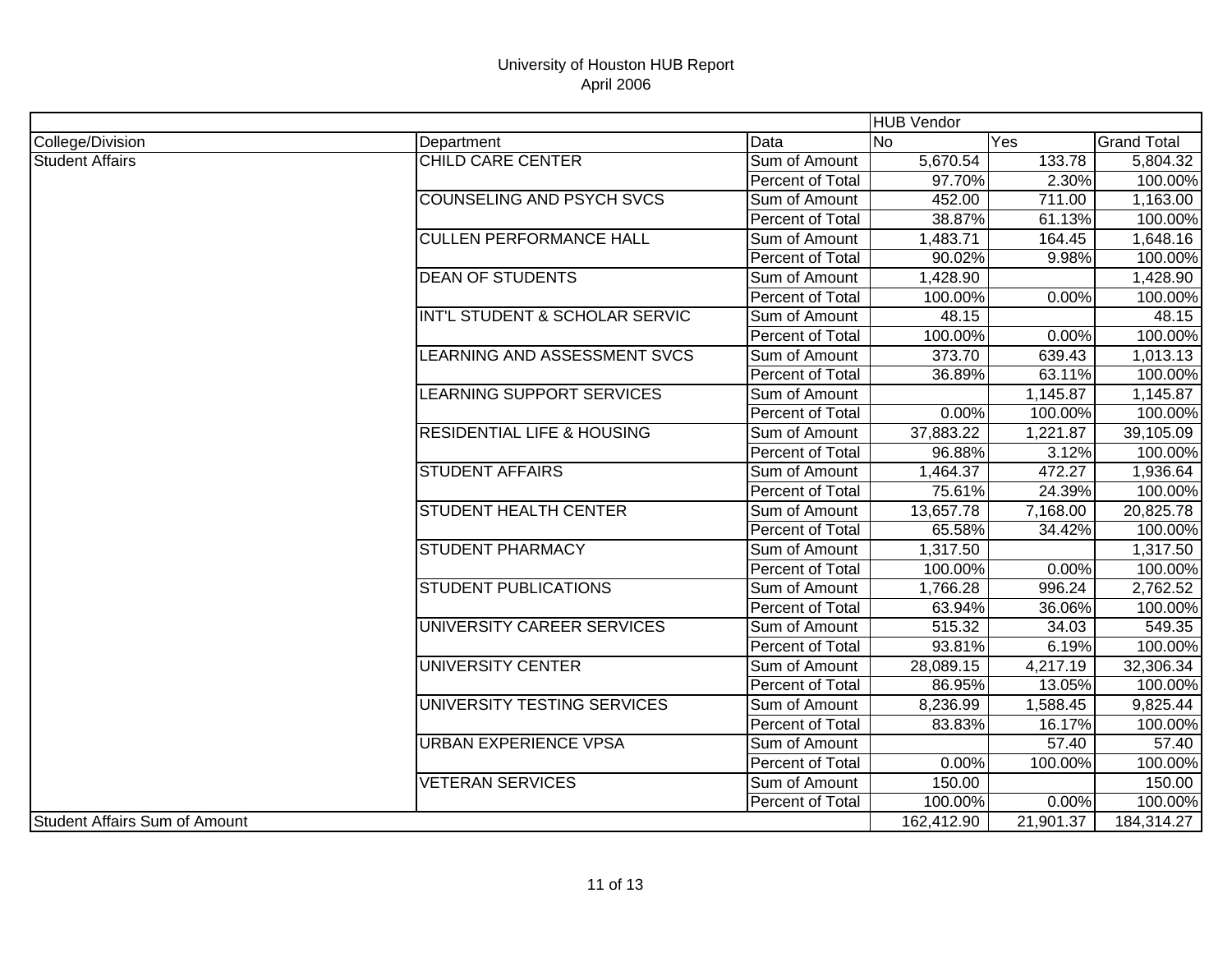|                                      |                                       |                  | <b>HUB Vendor</b> |           |                    |
|--------------------------------------|---------------------------------------|------------------|-------------------|-----------|--------------------|
| College/Division                     | Department                            | Data             | lNo.              | Yes       | <b>Grand Total</b> |
| <b>Student Affairs</b>               | CHILD CARE CENTER                     | Sum of Amount    | 5,670.54          | 133.78    | 5,804.32           |
|                                      |                                       | Percent of Total | 97.70%            | 2.30%     | 100.00%            |
|                                      | <b>COUNSELING AND PSYCH SVCS</b>      | Sum of Amount    | 452.00            | 711.00    | 1,163.00           |
|                                      |                                       | Percent of Total | 38.87%            | 61.13%    | 100.00%            |
|                                      | <b>CULLEN PERFORMANCE HALL</b>        | Sum of Amount    | 1,483.71          | 164.45    | 1,648.16           |
|                                      |                                       | Percent of Total | 90.02%            | 9.98%     | 100.00%            |
|                                      | <b>DEAN OF STUDENTS</b>               | Sum of Amount    | 1,428.90          |           | 1,428.90           |
|                                      |                                       | Percent of Total | 100.00%           | 0.00%     | 100.00%            |
|                                      | INT'L STUDENT & SCHOLAR SERVIC        | Sum of Amount    | 48.15             |           | 48.15              |
|                                      |                                       | Percent of Total | 100.00%           | 0.00%     | 100.00%            |
|                                      | LEARNING AND ASSESSMENT SVCS          | Sum of Amount    | 373.70            | 639.43    | 1,013.13           |
|                                      |                                       | Percent of Total | 36.89%            | 63.11%    | 100.00%            |
|                                      | LEARNING SUPPORT SERVICES             | Sum of Amount    |                   | 1,145.87  | 1,145.87           |
|                                      |                                       | Percent of Total | 0.00%             | 100.00%   | 100.00%            |
|                                      | <b>RESIDENTIAL LIFE &amp; HOUSING</b> | Sum of Amount    | 37,883.22         | 1,221.87  | 39,105.09          |
|                                      |                                       | Percent of Total | 96.88%            | 3.12%     | 100.00%            |
|                                      | <b>STUDENT AFFAIRS</b>                | Sum of Amount    | 1,464.37          | 472.27    | 1,936.64           |
|                                      |                                       | Percent of Total | 75.61%            | 24.39%    | 100.00%            |
|                                      | <b>STUDENT HEALTH CENTER</b>          | Sum of Amount    | 13,657.78         | 7,168.00  | 20,825.78          |
|                                      |                                       | Percent of Total | 65.58%            | 34.42%    | 100.00%            |
|                                      | <b>STUDENT PHARMACY</b>               | Sum of Amount    | 1,317.50          |           | 1,317.50           |
|                                      |                                       | Percent of Total | 100.00%           | 0.00%     | 100.00%            |
|                                      | <b>STUDENT PUBLICATIONS</b>           | Sum of Amount    | 1,766.28          | 996.24    | 2,762.52           |
|                                      |                                       | Percent of Total | 63.94%            | 36.06%    | 100.00%            |
|                                      | UNIVERSITY CAREER SERVICES            | Sum of Amount    | 515.32            | 34.03     | 549.35             |
|                                      |                                       | Percent of Total | 93.81%            | 6.19%     | 100.00%            |
|                                      | <b>UNIVERSITY CENTER</b>              | Sum of Amount    | 28,089.15         | 4,217.19  | 32,306.34          |
|                                      |                                       | Percent of Total | 86.95%            | 13.05%    | 100.00%            |
|                                      | UNIVERSITY TESTING SERVICES           | Sum of Amount    | 8,236.99          | 1,588.45  | 9,825.44           |
|                                      |                                       | Percent of Total | 83.83%            | 16.17%    | 100.00%            |
|                                      | <b>URBAN EXPERIENCE VPSA</b>          | Sum of Amount    |                   | 57.40     | 57.40              |
|                                      |                                       | Percent of Total | 0.00%             | 100.00%   | 100.00%            |
|                                      | <b>VETERAN SERVICES</b>               | Sum of Amount    | 150.00            |           | 150.00             |
|                                      |                                       | Percent of Total | 100.00%           | 0.00%     | 100.00%            |
| <b>Student Affairs Sum of Amount</b> |                                       |                  | 162,412.90        | 21,901.37 | 184,314.27         |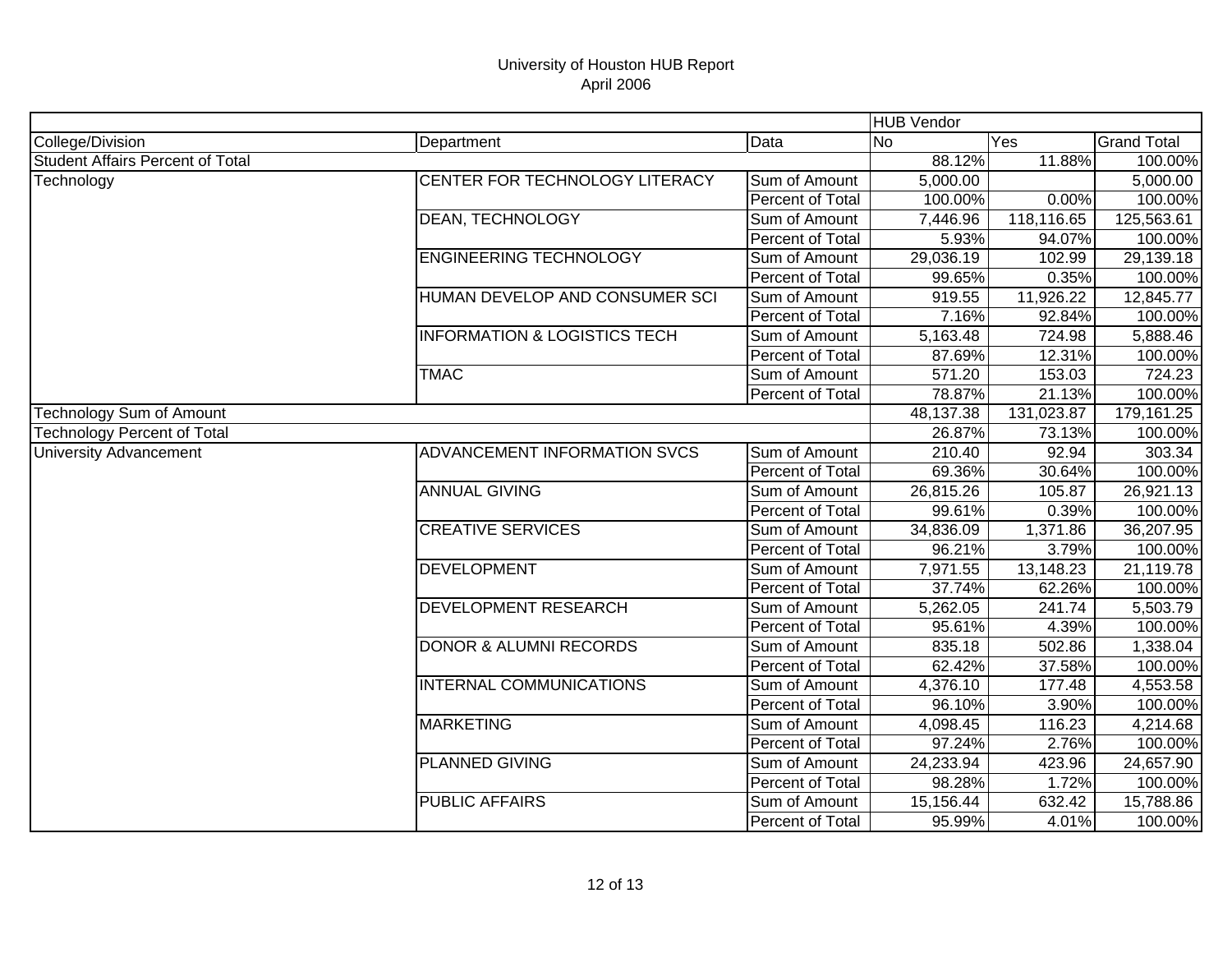|                                         |                                         |                  | <b>HUB Vendor</b> |            |                    |
|-----------------------------------------|-----------------------------------------|------------------|-------------------|------------|--------------------|
| College/Division                        | Department                              | Data             | <b>No</b>         | Yes        | <b>Grand Total</b> |
| <b>Student Affairs Percent of Total</b> |                                         |                  | 88.12%            | 11.88%     | 100.00%            |
| Technology                              | CENTER FOR TECHNOLOGY LITERACY          | Sum of Amount    | 5,000.00          |            | 5,000.00           |
|                                         |                                         | Percent of Total | 100.00%           | 0.00%      | 100.00%            |
|                                         | <b>DEAN, TECHNOLOGY</b>                 | Sum of Amount    | 7,446.96          | 118,116.65 | 125,563.61         |
|                                         |                                         | Percent of Total | 5.93%             | 94.07%     | 100.00%            |
|                                         | <b>ENGINEERING TECHNOLOGY</b>           | Sum of Amount    | 29,036.19         | 102.99     | 29,139.18          |
|                                         |                                         | Percent of Total | 99.65%            | 0.35%      | 100.00%            |
|                                         | HUMAN DEVELOP AND CONSUMER SCI          | Sum of Amount    | 919.55            | 11,926.22  | 12,845.77          |
|                                         |                                         | Percent of Total | 7.16%             | 92.84%     | 100.00%            |
|                                         | <b>INFORMATION &amp; LOGISTICS TECH</b> | Sum of Amount    | 5,163.48          | 724.98     | 5,888.46           |
|                                         |                                         | Percent of Total | 87.69%            | 12.31%     | 100.00%            |
|                                         | <b>TMAC</b>                             | Sum of Amount    | 571.20            | 153.03     | 724.23             |
|                                         |                                         | Percent of Total | 78.87%            | 21.13%     | 100.00%            |
| Technology Sum of Amount                |                                         |                  | 48,137.38         | 131,023.87 | 179,161.25         |
| <b>Technology Percent of Total</b>      |                                         |                  | 26.87%            | 73.13%     | 100.00%            |
| <b>University Advancement</b>           | ADVANCEMENT INFORMATION SVCS            | Sum of Amount    | 210.40            | 92.94      | 303.34             |
|                                         |                                         | Percent of Total | 69.36%            | 30.64%     | 100.00%            |
|                                         | <b>ANNUAL GIVING</b>                    | Sum of Amount    | 26,815.26         | 105.87     | 26,921.13          |
|                                         |                                         | Percent of Total | 99.61%            | 0.39%      | 100.00%            |
|                                         | <b>CREATIVE SERVICES</b>                | Sum of Amount    | 34,836.09         | 1,371.86   | 36,207.95          |
|                                         |                                         | Percent of Total | 96.21%            | 3.79%      | 100.00%            |
|                                         | <b>DEVELOPMENT</b>                      | Sum of Amount    | 7,971.55          | 13,148.23  | 21,119.78          |
|                                         |                                         | Percent of Total | 37.74%            | 62.26%     | 100.00%            |
|                                         | <b>DEVELOPMENT RESEARCH</b>             | Sum of Amount    | 5,262.05          | 241.74     | 5,503.79           |
|                                         |                                         | Percent of Total | 95.61%            | 4.39%      | 100.00%            |
|                                         | <b>DONOR &amp; ALUMNI RECORDS</b>       | Sum of Amount    | 835.18            | 502.86     | 1,338.04           |
|                                         |                                         | Percent of Total | 62.42%            | 37.58%     | 100.00%            |
|                                         | INTERNAL COMMUNICATIONS                 | Sum of Amount    | 4,376.10          | 177.48     | 4,553.58           |
|                                         |                                         | Percent of Total | 96.10%            | 3.90%      | 100.00%            |
|                                         | <b>MARKETING</b>                        | Sum of Amount    | 4,098.45          | 116.23     | 4,214.68           |
|                                         |                                         | Percent of Total | 97.24%            | 2.76%      | 100.00%            |
|                                         | <b>PLANNED GIVING</b>                   | Sum of Amount    | 24,233.94         | 423.96     | 24,657.90          |
|                                         |                                         | Percent of Total | 98.28%            | 1.72%      | 100.00%            |
|                                         | <b>PUBLIC AFFAIRS</b>                   | Sum of Amount    | 15,156.44         | 632.42     | 15,788.86          |
|                                         |                                         | Percent of Total | 95.99%            | 4.01%      | 100.00%            |